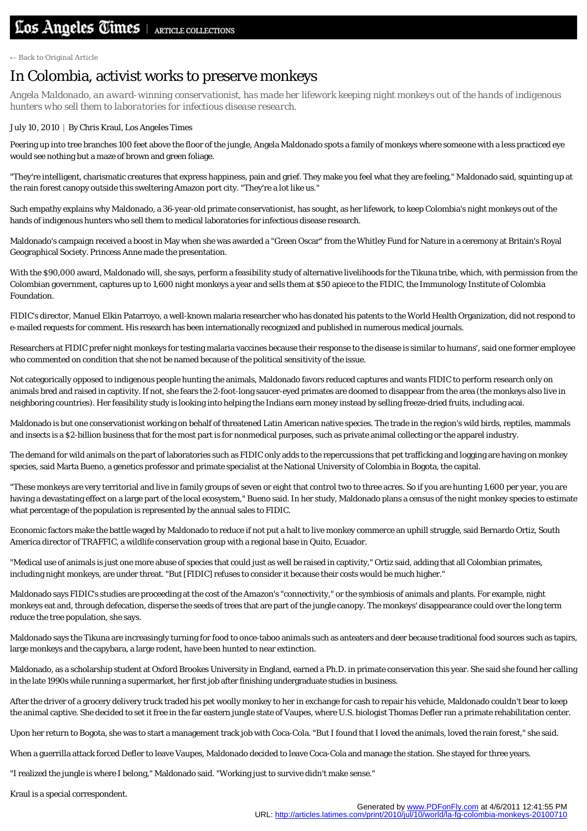← [Back to Original Article](http://articles.latimes.com/2010/jul/10/world/la-fg-colombia-monkeys-20100710)

## In Colombia, activist works to preserve monkeys

*Angela Maldonado, an award-winning conservationist, has made her lifework keeping night monkeys out of the hands of indigenous hunters who sell them to laboratories for infectious disease research.*

## July 10, 2010 | By Chris Kraul, Los Angeles Times

Peering up into tree branches 100 feet above the floor of the jungle, Angela Maldonado spots a family of monkeys where someone with a less practiced eye would see nothing but a maze of brown and green foliage.

"They're intelligent, charismatic creatures that express happiness, pain and grief. They make you feel what they are feeling," Maldonado said, squinting up at the rain forest canopy outside this sweltering Amazon port city. "They're a lot like us."

Such empathy explains why Maldonado, a 36-year-old primate conservationist, has sought, as her lifework, to keep Colombia's night monkeys out of the hands of indigenous hunters who sell them to medical laboratories for infectious disease research.

Maldonado's campaign received a boost in May when she was awarded a "Green Oscar" from the Whitley Fund for Nature in a ceremony at Britain's Royal Geographical Society. Princess Anne made the presentation.

With the \$90,000 award, Maldonado will, she says, perform a feasibility study of alternative livelihoods for the Tikuna tribe, which, with permission from the Colombian government, captures up to 1,600 night monkeys a year and sells them at \$50 apiece to the FIDIC, the Immunology Institute of Colombia Foundation.

FIDIC's director, Manuel Elkin Patarroyo, a well-known malaria researcher who has donated his patents to the World Health Organization, did not respond to e-mailed requests for comment. His research has been internationally recognized and published in numerous medical journals.

Researchers at FIDIC prefer night monkeys for testing malaria vaccines because their response to the disease is similar to humans', said one former employee who commented on condition that she not be named because of the political sensitivity of the issue.

Not categorically opposed to indigenous people hunting the animals, Maldonado favors reduced captures and wants FIDIC to perform research only on animals bred and raised in captivity. If not, she fears the 2-foot-long saucer-eyed primates are doomed to disappear from the area (the monkeys also live in neighboring countries). Her feasibility study is looking into helping the Indians earn money instead by selling freeze-dried fruits, including acai.

Maldonado is but one conservationist working on behalf of threatened Latin American native species. The trade in the region's wild birds, reptiles, mammals and insects is a \$2-billion business that for the most part is for nonmedical purposes, such as private animal collecting or the apparel industry.

The demand for wild animals on the part of laboratories such as FIDIC only adds to the repercussions that pet trafficking and logging are having on monkey species, said Marta Bueno, a genetics professor and primate specialist at the National University of Colombia in Bogota, the capital.

"These monkeys are very territorial and live in family groups of seven or eight that control two to three acres. So if you are hunting 1,600 per year, you are having a devastating effect on a large part of the local ecosystem," Bueno said. In her study, Maldonado plans a census of the night monkey species to estimate what percentage of the population is represented by the annual sales to FIDIC.

Economic factors make the battle waged by Maldonado to reduce if not put a halt to live monkey commerce an uphill struggle, said Bernardo Ortiz, South America director of TRAFFIC, a wildlife conservation group with a regional base in Quito, Ecuador.

"Medical use of animals is just one more abuse of species that could just as well be raised in captivity," Ortiz said, adding that all Colombian primates, including night monkeys, are under threat. "But [FIDIC] refuses to consider it because their costs would be much higher."

Maldonado says FIDIC's studies are proceeding at the cost of the Amazon's "connectivity," or the symbiosis of animals and plants. For example, night monkeys eat and, through defecation, disperse the seeds of trees that are part of the jungle canopy. The monkeys' disappearance could over the long term reduce the tree population, she says.

Maldonado says the Tikuna are increasingly turning for food to once-taboo animals such as anteaters and deer because traditional food sources such as tapirs, large monkeys and the capybara, a large rodent, have been hunted to near extinction.

Maldonado, as a scholarship student at Oxford Brookes University in England, earned a Ph.D. in primate conservation this year. She said she found her calling in the late 1990s while running a supermarket, her first job after finishing undergraduate studies in business.

After the driver of a grocery delivery truck traded his pet woolly monkey to her in exchange for cash to repair his vehicle, Maldonado couldn't bear to keep the animal captive. She decided to set it free in the far eastern jungle state of Vaupes, where U.S. biologist Thomas Defler ran a primate rehabilitation center.

Upon her return to Bogota, she was to start a management track job with Coca-Cola. "But I found that I loved the animals, loved the rain forest," she said.

When a guerrilla attack forced Defler to leave Vaupes, Maldonado decided to leave Coca-Cola and manage the station. She stayed for three years.

"I realized the jungle is where I belong," Maldonado said. "Working just to survive didn't make sense."

Kraul is a special correspondent.